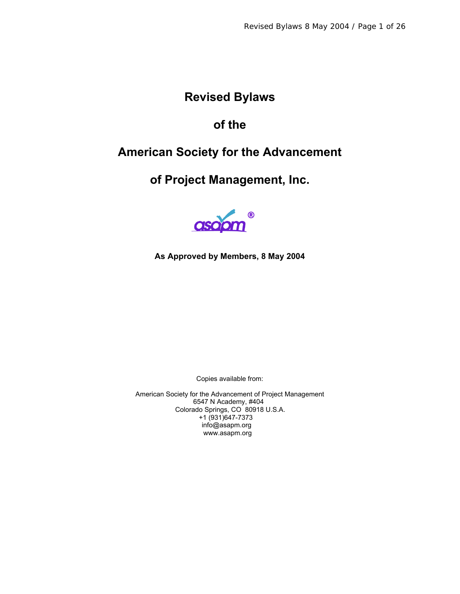# **Revised Bylaws**

# **of the**

# **American Society for the Advancement**

# **of Project Management, Inc.**



#### **As Approved by Members, 8 May 2004**

Copies available from:

American Society for the Advancement of Project Management 6547 N Academy, #404 Colorado Springs, CO 80918 U.S.A. +1 (931)647-7373 info@asapm.org www.asapm.org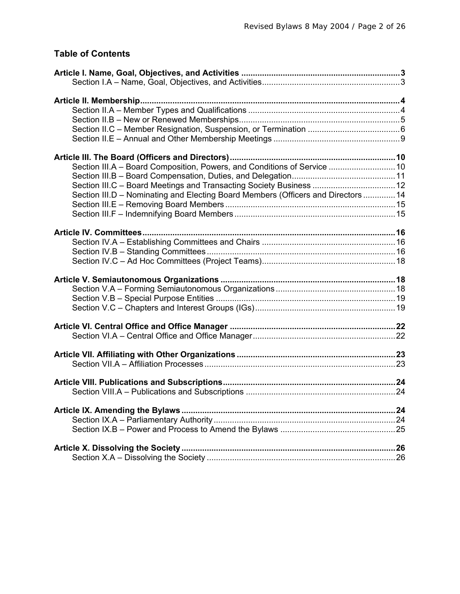### **Table of Contents**

| Section III.A - Board Composition, Powers, and Conditions of Service  10          |  |
|-----------------------------------------------------------------------------------|--|
|                                                                                   |  |
| Section III.C - Board Meetings and Transacting Society Business  12               |  |
| Section III.D - Nominating and Electing Board Members (Officers and Directors  14 |  |
|                                                                                   |  |
|                                                                                   |  |
|                                                                                   |  |
|                                                                                   |  |
|                                                                                   |  |
|                                                                                   |  |
|                                                                                   |  |
|                                                                                   |  |
|                                                                                   |  |
|                                                                                   |  |
|                                                                                   |  |
|                                                                                   |  |
|                                                                                   |  |
|                                                                                   |  |
|                                                                                   |  |
|                                                                                   |  |
|                                                                                   |  |
|                                                                                   |  |
|                                                                                   |  |
|                                                                                   |  |
|                                                                                   |  |
|                                                                                   |  |
|                                                                                   |  |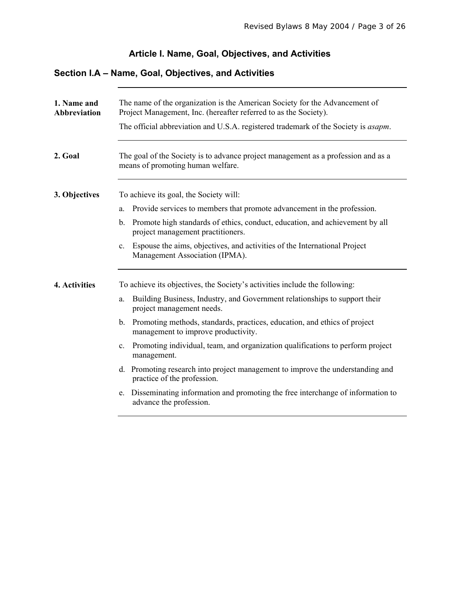#### **Article I. Name, Goal, Objectives, and Activities**

### **Section I.A – Name, Goal, Objectives, and Activities**

| 1. Name and<br><b>Abbreviation</b> | The name of the organization is the American Society for the Advancement of<br>Project Management, Inc. (hereafter referred to as the Society).<br>The official abbreviation and U.S.A. registered trademark of the Society is <i>asapm</i> . |
|------------------------------------|-----------------------------------------------------------------------------------------------------------------------------------------------------------------------------------------------------------------------------------------------|
| 2. Goal                            | The goal of the Society is to advance project management as a profession and as a<br>means of promoting human welfare.                                                                                                                        |
| 3. Objectives                      | To achieve its goal, the Society will:                                                                                                                                                                                                        |
|                                    | Provide services to members that promote advancement in the profession.<br>a.                                                                                                                                                                 |
|                                    | Promote high standards of ethics, conduct, education, and achievement by all<br>$\mathbf b$ .<br>project management practitioners.                                                                                                            |
|                                    | c. Espouse the aims, objectives, and activities of the International Project<br>Management Association (IPMA).                                                                                                                                |
| 4. Activities                      | To achieve its objectives, the Society's activities include the following:                                                                                                                                                                    |
|                                    | Building Business, Industry, and Government relationships to support their<br>a.<br>project management needs.                                                                                                                                 |
|                                    | b. Promoting methods, standards, practices, education, and ethics of project<br>management to improve productivity.                                                                                                                           |
|                                    | Promoting individual, team, and organization qualifications to perform project<br>$c_{\cdot}$<br>management.                                                                                                                                  |
|                                    | Promoting research into project management to improve the understanding and<br>d.<br>practice of the profession.                                                                                                                              |
|                                    | Disseminating information and promoting the free interchange of information to<br>e.<br>advance the profession.                                                                                                                               |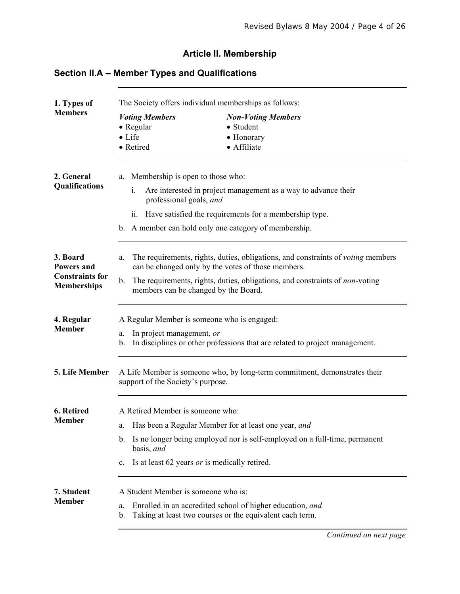#### **Article II. Membership**

# **Section II.A – Member Types and Qualifications**

| 1. Types of                                  | The Society offers individual memberships as follows:                                                          |                                                                                                                                               |  |
|----------------------------------------------|----------------------------------------------------------------------------------------------------------------|-----------------------------------------------------------------------------------------------------------------------------------------------|--|
| <b>Members</b>                               | <b>Voting Members</b>                                                                                          | <b>Non-Voting Members</b>                                                                                                                     |  |
|                                              | • Regular<br>$\bullet$ Life                                                                                    | • Student<br>• Honorary                                                                                                                       |  |
|                                              | • Retired                                                                                                      | • Affiliate                                                                                                                                   |  |
| 2. General<br><b>Qualifications</b>          | Membership is open to those who:<br>a.<br>Are interested in project management as a way to advance their<br>i. |                                                                                                                                               |  |
|                                              | professional goals, and                                                                                        |                                                                                                                                               |  |
|                                              | ii.                                                                                                            | Have satisfied the requirements for a membership type.                                                                                        |  |
|                                              |                                                                                                                | b. A member can hold only one category of membership.                                                                                         |  |
| 3. Board<br><b>Powers and</b>                | a.                                                                                                             | The requirements, rights, duties, obligations, and constraints of <i>voting</i> members<br>can be changed only by the votes of those members. |  |
| <b>Constraints for</b><br><b>Memberships</b> | b.<br>members can be changed by the Board.                                                                     | The requirements, rights, duties, obligations, and constraints of <i>non</i> -voting                                                          |  |
| 4. Regular                                   | A Regular Member is someone who is engaged:                                                                    |                                                                                                                                               |  |
| <b>Member</b>                                | In project management, or<br>a.<br>b.                                                                          | In disciplines or other professions that are related to project management.                                                                   |  |
| 5. Life Member                               | A Life Member is someone who, by long-term commitment, demonstrates their<br>support of the Society's purpose. |                                                                                                                                               |  |
| 6. Retired                                   | A Retired Member is someone who:                                                                               |                                                                                                                                               |  |
| <b>Member</b>                                | a.                                                                                                             | Has been a Regular Member for at least one year, and                                                                                          |  |
|                                              | $\mathbf{b}$ .<br>basis, and                                                                                   | Is no longer being employed nor is self-employed on a full-time, permanent                                                                    |  |
|                                              | Is at least 62 years <i>or</i> is medically retired.<br>$\mathbf{c}$ .                                         |                                                                                                                                               |  |
| 7. Student                                   | A Student Member is someone who is:                                                                            |                                                                                                                                               |  |
| <b>Member</b>                                | a.<br>b.                                                                                                       | Enrolled in an accredited school of higher education, and<br>Taking at least two courses or the equivalent each term.                         |  |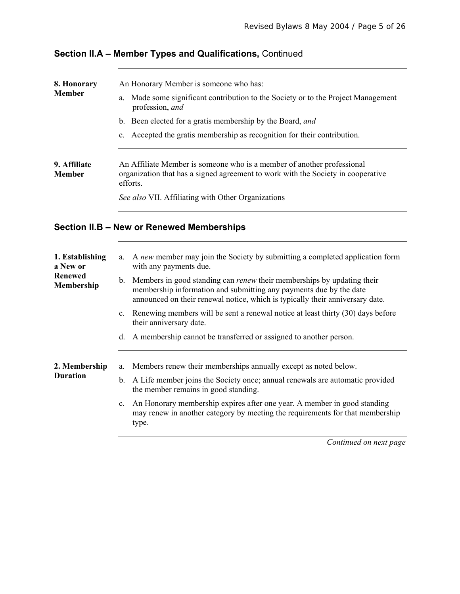| 8. Honorary                   | An Honorary Member is someone who has:                                                                                                                                 |
|-------------------------------|------------------------------------------------------------------------------------------------------------------------------------------------------------------------|
| <b>Member</b>                 | Made some significant contribution to the Society or to the Project Management<br>a.<br>profession, and                                                                |
|                               | b. Been elected for a gratis membership by the Board, and                                                                                                              |
|                               | Accepted the gratis membership as recognition for their contribution.<br>$c_{\cdot}$                                                                                   |
| 9. Affiliate<br><b>Member</b> | An Affiliate Member is someone who is a member of another professional<br>organization that has a signed agreement to work with the Society in cooperative<br>efforts. |
|                               | See also VII. Affiliating with Other Organizations                                                                                                                     |
|                               |                                                                                                                                                                        |

# **Section II.A – Member Types and Qualifications,** Continued

#### **Section II.B – New or Renewed Memberships**

| 1. Establishing<br>a New or<br><b>Renewed</b><br>Membership | a.             | A new member may join the Society by submitting a completed application form<br>with any payments due.                                                                                                                               |
|-------------------------------------------------------------|----------------|--------------------------------------------------------------------------------------------------------------------------------------------------------------------------------------------------------------------------------------|
|                                                             | $\mathbf{b}$ . | Members in good standing can <i>renew</i> their memberships by updating their<br>membership information and submitting any payments due by the date<br>announced on their renewal notice, which is typically their anniversary date. |
|                                                             | C <sub>1</sub> | Renewing members will be sent a renewal notice at least thirty (30) days before<br>their anniversary date.                                                                                                                           |
|                                                             | d.             | A membership cannot be transferred or assigned to another person.                                                                                                                                                                    |
| 2. Membership<br><b>Duration</b>                            | a.             | Members renew their memberships annually except as noted below.                                                                                                                                                                      |
|                                                             | $\mathbf{b}$ . | A Life member joins the Society once; annual renewals are automatic provided<br>the member remains in good standing.                                                                                                                 |
|                                                             | $c_{\cdot}$    | An Honorary membership expires after one year. A member in good standing<br>may renew in another category by meeting the requirements for that membership<br>type.                                                                   |
|                                                             |                | Continued on next page                                                                                                                                                                                                               |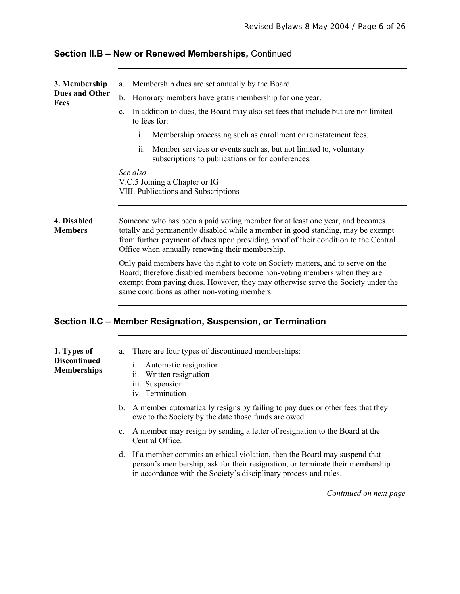| 3. Membership<br><b>Dues and Other</b><br><b>Fees</b> | Membership dues are set annually by the Board.<br>a.                                                                                                                                                                                                                                                      |  |  |
|-------------------------------------------------------|-----------------------------------------------------------------------------------------------------------------------------------------------------------------------------------------------------------------------------------------------------------------------------------------------------------|--|--|
|                                                       | $\mathbf b$ .<br>Honorary members have gratis membership for one year.                                                                                                                                                                                                                                    |  |  |
|                                                       | In addition to dues, the Board may also set fees that include but are not limited<br>$\mathbf{c}$ .<br>to fees for:                                                                                                                                                                                       |  |  |
|                                                       | Membership processing such as enrollment or reinstatement fees.<br>i.                                                                                                                                                                                                                                     |  |  |
|                                                       | Member services or events such as, but not limited to, voluntary<br>11.<br>subscriptions to publications or for conferences.                                                                                                                                                                              |  |  |
|                                                       | See also<br>V.C.5 Joining a Chapter or IG<br>VIII. Publications and Subscriptions                                                                                                                                                                                                                         |  |  |
| 4. Disabled<br><b>Members</b>                         | Someone who has been a paid voting member for at least one year, and becomes<br>totally and permanently disabled while a member in good standing, may be exempt<br>from further payment of dues upon providing proof of their condition to the Central<br>Office when annually renewing their membership. |  |  |
|                                                       | Only paid members have the right to vote on Society matters, and to serve on the<br>Board; therefore disabled members become non-voting members when they are<br>exempt from paying dues. However, they may otherwise serve the Society under the<br>same conditions as other non-voting members.         |  |  |
|                                                       |                                                                                                                                                                                                                                                                                                           |  |  |

#### **Section II.B – New or Renewed Memberships,** Continued

#### **Section II.C – Member Resignation, Suspension, or Termination**

| 1. Types of<br><b>Discontinued</b><br><b>Memberships</b> |             | a. There are four types of discontinued memberships:<br>Automatic resignation<br>1.<br>ii. Written resignation<br>iii. Suspension<br>iv. Termination |
|----------------------------------------------------------|-------------|------------------------------------------------------------------------------------------------------------------------------------------------------|
|                                                          |             | b. A member automatically resigns by failing to pay dues or other fees that they<br>owe to the Society by the date those funds are owed.             |
|                                                          | $c_{\cdot}$ | A member may resign by sending a letter of resignation to the Board at the                                                                           |

- Central Office.
- d. If a member commits an ethical violation, then the Board may suspend that person's membership, ask for their resignation, or terminate their membership in accordance with the Society's disciplinary process and rules.

*Continued on next page*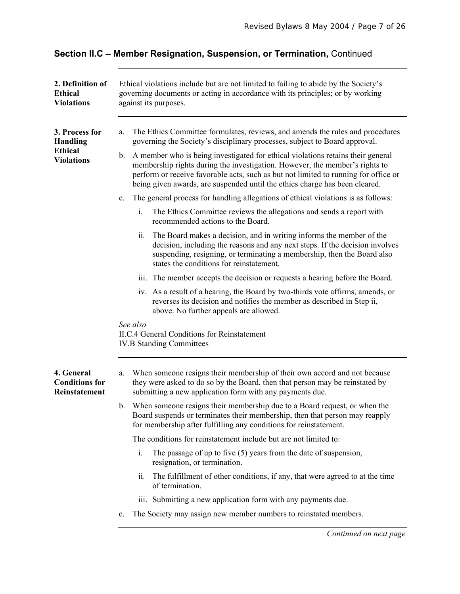# **Section II.C – Member Resignation, Suspension, or Termination,** Continued

| 2. Definition of<br><b>Ethical</b><br><b>Violations</b>                  | Ethical violations include but are not limited to failing to abide by the Society's<br>governing documents or acting in accordance with its principles; or by working<br>against its purposes.                                                                                                                                                                                                                                                                                                                  |
|--------------------------------------------------------------------------|-----------------------------------------------------------------------------------------------------------------------------------------------------------------------------------------------------------------------------------------------------------------------------------------------------------------------------------------------------------------------------------------------------------------------------------------------------------------------------------------------------------------|
| 3. Process for<br><b>Handling</b><br><b>Ethical</b><br><b>Violations</b> | The Ethics Committee formulates, reviews, and amends the rules and procedures<br>a.<br>governing the Society's disciplinary processes, subject to Board approval.<br>A member who is being investigated for ethical violations retains their general<br>b.<br>membership rights during the investigation. However, the member's rights to<br>perform or receive favorable acts, such as but not limited to running for office or<br>being given awards, are suspended until the ethics charge has been cleared. |
|                                                                          | The general process for handling allegations of ethical violations is as follows:<br>$\mathbf{c}$ .                                                                                                                                                                                                                                                                                                                                                                                                             |
|                                                                          | The Ethics Committee reviews the allegations and sends a report with<br>i.<br>recommended actions to the Board.                                                                                                                                                                                                                                                                                                                                                                                                 |
|                                                                          | ii.<br>The Board makes a decision, and in writing informs the member of the<br>decision, including the reasons and any next steps. If the decision involves<br>suspending, resigning, or terminating a membership, then the Board also<br>states the conditions for reinstatement.                                                                                                                                                                                                                              |
|                                                                          | iii. The member accepts the decision or requests a hearing before the Board.                                                                                                                                                                                                                                                                                                                                                                                                                                    |
|                                                                          | iv. As a result of a hearing, the Board by two-thirds vote affirms, amends, or<br>reverses its decision and notifies the member as described in Step ii,<br>above. No further appeals are allowed.                                                                                                                                                                                                                                                                                                              |
|                                                                          | See also<br><b>II.C.4 General Conditions for Reinstatement</b><br><b>IV.B Standing Committees</b>                                                                                                                                                                                                                                                                                                                                                                                                               |
| 4. General<br><b>Conditions for</b><br>Reinstatement                     | When someone resigns their membership of their own accord and not because<br>a.<br>they were asked to do so by the Board, then that person may be reinstated by<br>submitting a new application form with any payments due.                                                                                                                                                                                                                                                                                     |
|                                                                          | When someone resigns their membership due to a Board request, or when the<br>$\mathbf{b}$ .<br>Board suspends or terminates their membership, then that person may reapply<br>for membership after fulfilling any conditions for reinstatement.                                                                                                                                                                                                                                                                 |
|                                                                          | The conditions for reinstatement include but are not limited to:                                                                                                                                                                                                                                                                                                                                                                                                                                                |
|                                                                          | The passage of up to five $(5)$ years from the date of suspension,<br>i.<br>resignation, or termination.                                                                                                                                                                                                                                                                                                                                                                                                        |
|                                                                          | ii.<br>The fulfillment of other conditions, if any, that were agreed to at the time<br>of termination.                                                                                                                                                                                                                                                                                                                                                                                                          |
|                                                                          | iii. Submitting a new application form with any payments due.                                                                                                                                                                                                                                                                                                                                                                                                                                                   |
|                                                                          | The Society may assign new member numbers to reinstated members.<br>c.                                                                                                                                                                                                                                                                                                                                                                                                                                          |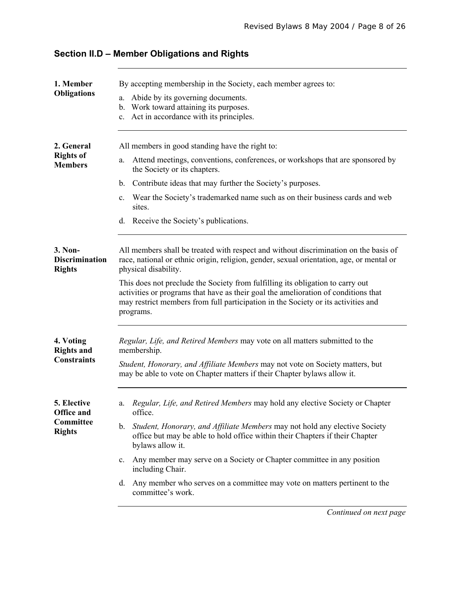| 1. Member<br><b>Obligations</b>                                | By accepting membership in the Society, each member agrees to:<br>Abide by its governing documents.<br>a.<br>Work toward attaining its purposes.<br>$\mathbf{b}$ .<br>Act in accordance with its principles.<br>$\mathbf{c}$ .                                                                                                                                                                                                                                                                                                                 |
|----------------------------------------------------------------|------------------------------------------------------------------------------------------------------------------------------------------------------------------------------------------------------------------------------------------------------------------------------------------------------------------------------------------------------------------------------------------------------------------------------------------------------------------------------------------------------------------------------------------------|
| 2. General<br><b>Rights of</b><br><b>Members</b>               | All members in good standing have the right to:<br>Attend meetings, conventions, conferences, or workshops that are sponsored by<br>a.<br>the Society or its chapters.<br>Contribute ideas that may further the Society's purposes.<br>$\mathbf{b}$ .<br>Wear the Society's trademarked name such as on their business cards and web<br>c.<br>sites.<br>Receive the Society's publications.<br>d.                                                                                                                                              |
| 3. Non-<br><b>Discrimination</b><br><b>Rights</b>              | All members shall be treated with respect and without discrimination on the basis of<br>race, national or ethnic origin, religion, gender, sexual orientation, age, or mental or<br>physical disability.<br>This does not preclude the Society from fulfilling its obligation to carry out<br>activities or programs that have as their goal the amelioration of conditions that<br>may restrict members from full participation in the Society or its activities and<br>programs.                                                             |
| 4. Voting<br><b>Rights and</b><br><b>Constraints</b>           | Regular, Life, and Retired Members may vote on all matters submitted to the<br>membership.<br>Student, Honorary, and Affiliate Members may not vote on Society matters, but<br>may be able to vote on Chapter matters if their Chapter bylaws allow it.                                                                                                                                                                                                                                                                                        |
| 5. Elective<br><b>Office and</b><br>Committee<br><b>Rights</b> | Regular, Life, and Retired Members may hold any elective Society or Chapter<br>a.<br>office.<br>Student, Honorary, and Affiliate Members may not hold any elective Society<br>$\mathbf b$ .<br>office but may be able to hold office within their Chapters if their Chapter<br>bylaws allow it.<br>Any member may serve on a Society or Chapter committee in any position<br>$c_{\cdot}$<br>including Chair.<br>Any member who serves on a committee may vote on matters pertinent to the<br>d.<br>committee's work.<br>Continued on next page |

# **Section II.D – Member Obligations and Rights**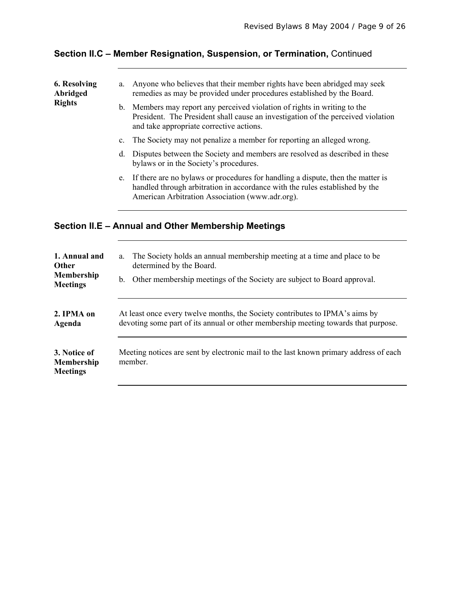| 6. Resolving<br>Abridged<br><b>Rights</b> | a.          | Anyone who believes that their member rights have been abridged may seek<br>remedies as may be provided under procedures established by the Board.                                                                   |
|-------------------------------------------|-------------|----------------------------------------------------------------------------------------------------------------------------------------------------------------------------------------------------------------------|
|                                           | b.          | Members may report any perceived violation of rights in writing to the<br>President. The President shall cause an investigation of the perceived violation<br>and take appropriate corrective actions.               |
|                                           | $c_{\cdot}$ | The Society may not penalize a member for reporting an alleged wrong.                                                                                                                                                |
|                                           | d.          | Disputes between the Society and members are resolved as described in these<br>bylaws or in the Society's procedures.                                                                                                |
|                                           |             | e. If there are no bylaws or procedures for handling a dispute, then the matter is<br>handled through arbitration in accordance with the rules established by the<br>American Arbitration Association (www.adr.org). |
|                                           |             | Section II.E – Annual and Other Membership Meetings                                                                                                                                                                  |

# **Section II.C – Member Resignation, Suspension, or Termination,** Continued

| 1. Annual and                                        | The Society holds an annual membership meeting at a time and place to be                         |
|------------------------------------------------------|--------------------------------------------------------------------------------------------------|
| <b>Other</b>                                         | a.                                                                                               |
| Membership                                           | determined by the Board.                                                                         |
| <b>Meetings</b>                                      | b. Other membership meetings of the Society are subject to Board approval.                       |
| 2. IPMA on                                           | At least once every twelve months, the Society contributes to IPMA's aims by                     |
| Agenda                                               | devoting some part of its annual or other membership meeting towards that purpose.               |
| 3. Notice of<br><b>Membership</b><br><b>Meetings</b> | Meeting notices are sent by electronic mail to the last known primary address of each<br>member. |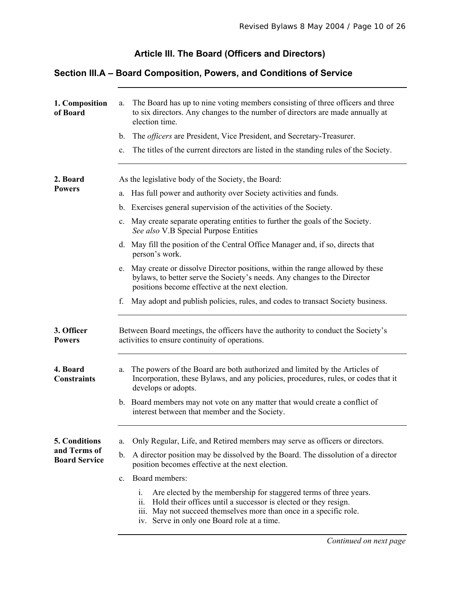# **Article III. The Board (Officers and Directors)**

### **Section III.A – Board Composition, Powers, and Conditions of Service**

| 1. Composition<br>of Board                            | The Board has up to nine voting members consisting of three officers and three<br>a.<br>to six directors. Any changes to the number of directors are made annually at<br>election time.<br>The <i>officers</i> are President, Vice President, and Secretary-Treasurer.<br>b.<br>The titles of the current directors are listed in the standing rules of the Society.<br>$\mathbf{c}$ .                                                                                                                                                                |
|-------------------------------------------------------|-------------------------------------------------------------------------------------------------------------------------------------------------------------------------------------------------------------------------------------------------------------------------------------------------------------------------------------------------------------------------------------------------------------------------------------------------------------------------------------------------------------------------------------------------------|
| 2. Board<br><b>Powers</b>                             | As the legislative body of the Society, the Board:<br>Has full power and authority over Society activities and funds.<br>a.<br>Exercises general supervision of the activities of the Society.<br>b.<br>May create separate operating entities to further the goals of the Society.<br>$\mathbf{c}$ .<br>See also V.B Special Purpose Entities<br>d. May fill the position of the Central Office Manager and, if so, directs that<br>person's work.                                                                                                   |
| 3. Officer<br><b>Powers</b>                           | May create or dissolve Director positions, within the range allowed by these<br>e.<br>bylaws, to better serve the Society's needs. Any changes to the Director<br>positions become effective at the next election.<br>May adopt and publish policies, rules, and codes to transact Society business.<br>f.<br>Between Board meetings, the officers have the authority to conduct the Society's<br>activities to ensure continuity of operations.                                                                                                      |
| 4. Board<br><b>Constraints</b>                        | The powers of the Board are both authorized and limited by the Articles of<br>a.<br>Incorporation, these Bylaws, and any policies, procedures, rules, or codes that it<br>develops or adopts.<br>b. Board members may not vote on any matter that would create a conflict of<br>interest between that member and the Society.                                                                                                                                                                                                                         |
| 5. Conditions<br>and Terms of<br><b>Board Service</b> | Only Regular, Life, and Retired members may serve as officers or directors.<br>a.<br>A director position may be dissolved by the Board. The dissolution of a director<br>$\mathbf b$ .<br>position becomes effective at the next election.<br>Board members:<br>$c_{\cdot}$<br>i.<br>Are elected by the membership for staggered terms of three years.<br>Hold their offices until a successor is elected or they resign.<br>11.<br>iii. May not succeed themselves more than once in a specific role.<br>iv. Serve in only one Board role at a time. |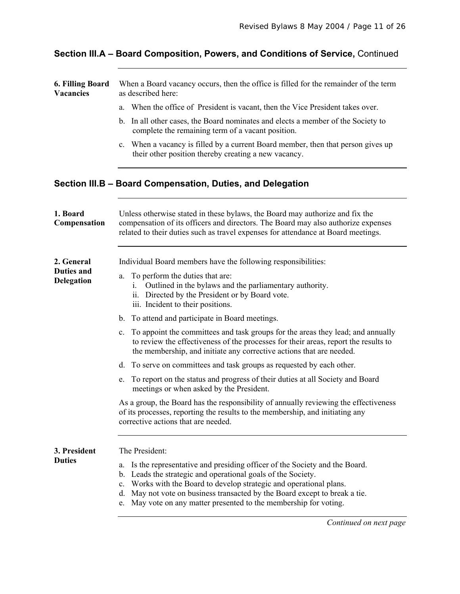# **Section III.A – Board Composition, Powers, and Conditions of Service,** Continued

| <b>6. Filling Board</b><br><b>Vacancies</b> | When a Board vacancy occurs, then the office is filled for the remainder of the term<br>as described here:                                                                                                                                                                                                                                                                                     |  |  |  |
|---------------------------------------------|------------------------------------------------------------------------------------------------------------------------------------------------------------------------------------------------------------------------------------------------------------------------------------------------------------------------------------------------------------------------------------------------|--|--|--|
|                                             | When the office of President is vacant, then the Vice President takes over.<br>a.                                                                                                                                                                                                                                                                                                              |  |  |  |
|                                             | In all other cases, the Board nominates and elects a member of the Society to<br>b.<br>complete the remaining term of a vacant position.                                                                                                                                                                                                                                                       |  |  |  |
|                                             | c. When a vacancy is filled by a current Board member, then that person gives up<br>their other position thereby creating a new vacancy.                                                                                                                                                                                                                                                       |  |  |  |
|                                             | Section III.B - Board Compensation, Duties, and Delegation                                                                                                                                                                                                                                                                                                                                     |  |  |  |
| 1. Board<br>Compensation                    | Unless otherwise stated in these bylaws, the Board may authorize and fix the<br>compensation of its officers and directors. The Board may also authorize expenses<br>related to their duties such as travel expenses for attendance at Board meetings.                                                                                                                                         |  |  |  |
| 2. General                                  | Individual Board members have the following responsibilities:                                                                                                                                                                                                                                                                                                                                  |  |  |  |
| <b>Duties and</b><br><b>Delegation</b>      | To perform the duties that are:<br>a.<br>Outlined in the bylaws and the parliamentary authority.<br>1.<br>ii. Directed by the President or by Board vote.<br>iii. Incident to their positions.                                                                                                                                                                                                 |  |  |  |
|                                             | To attend and participate in Board meetings.<br>$\mathbf{b}$ .                                                                                                                                                                                                                                                                                                                                 |  |  |  |
|                                             | To appoint the committees and task groups for the areas they lead; and annually<br>$c_{\cdot}$<br>to review the effectiveness of the processes for their areas, report the results to<br>the membership, and initiate any corrective actions that are needed.                                                                                                                                  |  |  |  |
|                                             | To serve on committees and task groups as requested by each other.<br>d.                                                                                                                                                                                                                                                                                                                       |  |  |  |
|                                             | To report on the status and progress of their duties at all Society and Board<br>e.<br>meetings or when asked by the President.                                                                                                                                                                                                                                                                |  |  |  |
|                                             | As a group, the Board has the responsibility of annually reviewing the effectiveness<br>of its processes, reporting the results to the membership, and initiating any<br>corrective actions that are needed.                                                                                                                                                                                   |  |  |  |
| 3. President                                | The President:                                                                                                                                                                                                                                                                                                                                                                                 |  |  |  |
| <b>Duties</b>                               | Is the representative and presiding officer of the Society and the Board.<br>a.<br>Leads the strategic and operational goals of the Society.<br>b.<br>Works with the Board to develop strategic and operational plans.<br>$\mathbf{c}$ .<br>May not vote on business transacted by the Board except to break a tie.<br>d.<br>e. May vote on any matter presented to the membership for voting. |  |  |  |
|                                             | Continued on next page                                                                                                                                                                                                                                                                                                                                                                         |  |  |  |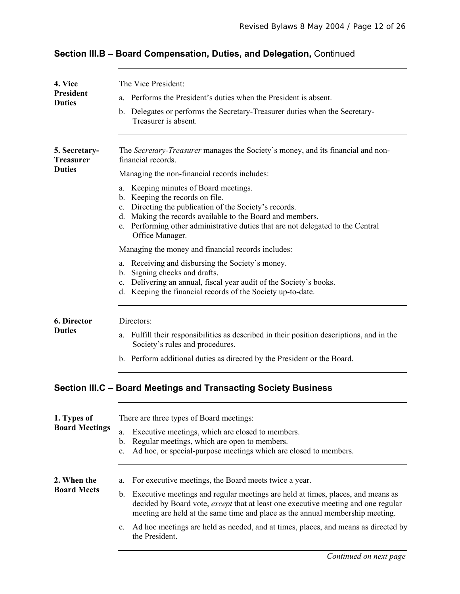| 4. Vice                           | The Vice President:                                                                                                                                                                                                                                                                                      |  |  |  |
|-----------------------------------|----------------------------------------------------------------------------------------------------------------------------------------------------------------------------------------------------------------------------------------------------------------------------------------------------------|--|--|--|
| <b>President</b><br><b>Duties</b> | Performs the President's duties when the President is absent.<br>a.                                                                                                                                                                                                                                      |  |  |  |
|                                   | Delegates or performs the Secretary-Treasurer duties when the Secretary-<br>$\mathbf{b}$ .<br>Treasurer is absent.                                                                                                                                                                                       |  |  |  |
| 5. Secretary-<br><b>Treasurer</b> | The Secretary-Treasurer manages the Society's money, and its financial and non-<br>financial records.                                                                                                                                                                                                    |  |  |  |
| <b>Duties</b>                     | Managing the non-financial records includes:                                                                                                                                                                                                                                                             |  |  |  |
|                                   | Keeping minutes of Board meetings.<br>a.<br>b. Keeping the records on file.<br>c. Directing the publication of the Society's records.<br>d. Making the records available to the Board and members.<br>e. Performing other administrative duties that are not delegated to the Central<br>Office Manager. |  |  |  |
|                                   | Managing the money and financial records includes:                                                                                                                                                                                                                                                       |  |  |  |
|                                   | a. Receiving and disbursing the Society's money.<br>b. Signing checks and drafts.<br>Delivering an annual, fiscal year audit of the Society's books.<br>$\mathbf{c}$ .<br>Keeping the financial records of the Society up-to-date.<br>d.                                                                 |  |  |  |
| 6. Director                       | Directors:                                                                                                                                                                                                                                                                                               |  |  |  |
| <b>Duties</b>                     | a. Fulfill their responsibilities as described in their position descriptions, and in the<br>Society's rules and procedures.                                                                                                                                                                             |  |  |  |
|                                   | b. Perform additional duties as directed by the President or the Board.                                                                                                                                                                                                                                  |  |  |  |
|                                   | Section III.C - Board Meetings and Transacting Society Business                                                                                                                                                                                                                                          |  |  |  |
| 1. Types of                       | There are three types of Board meetings:                                                                                                                                                                                                                                                                 |  |  |  |
| <b>Board Meetings</b>             | Executive meetings, which are closed to members.<br>a.<br>Regular meetings, which are open to members.<br>$\mathbf{b}$ .<br>Ad hoc, or special-purpose meetings which are closed to members.<br>c.                                                                                                       |  |  |  |
| 2. When the                       | For executive meetings, the Board meets twice a year.<br>a.                                                                                                                                                                                                                                              |  |  |  |
| <b>Board Meets</b>                | Executive meetings and regular meetings are held at times, places, and means as<br>$\mathbf{b}$ .<br>decided by Board vote, except that at least one executive meeting and one regular<br>meeting are held at the same time and place as the annual membership meeting.                                  |  |  |  |
|                                   | Ad hoc meetings are held as needed, and at times, places, and means as directed by<br>$\mathbf{c}$ .<br>the President.                                                                                                                                                                                   |  |  |  |
|                                   |                                                                                                                                                                                                                                                                                                          |  |  |  |

# **Section III.B – Board Compensation, Duties, and Delegation,** Continued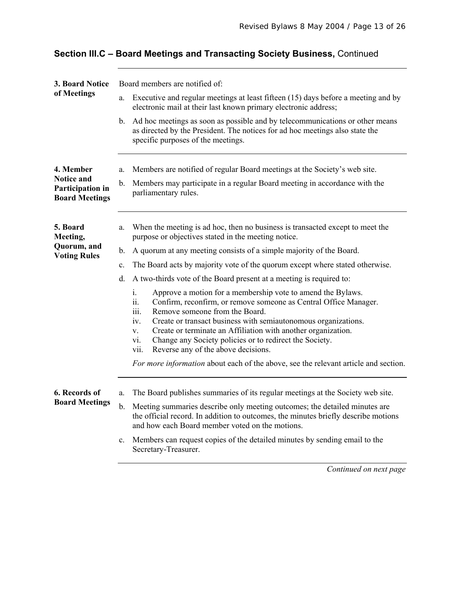| 3. Board Notice                                                | Board members are notified of:                                                                                                                                                                                                                                                                                                                                                                                                                          |  |  |
|----------------------------------------------------------------|---------------------------------------------------------------------------------------------------------------------------------------------------------------------------------------------------------------------------------------------------------------------------------------------------------------------------------------------------------------------------------------------------------------------------------------------------------|--|--|
| of Meetings                                                    | Executive and regular meetings at least fifteen (15) days before a meeting and by<br>a.<br>electronic mail at their last known primary electronic address;                                                                                                                                                                                                                                                                                              |  |  |
|                                                                | Ad hoc meetings as soon as possible and by telecommunications or other means<br>b.<br>as directed by the President. The notices for ad hoc meetings also state the<br>specific purposes of the meetings.                                                                                                                                                                                                                                                |  |  |
| 4. Member                                                      | Members are notified of regular Board meetings at the Society's web site.<br>a.                                                                                                                                                                                                                                                                                                                                                                         |  |  |
| <b>Notice and</b><br>Participation in<br><b>Board Meetings</b> | Members may participate in a regular Board meeting in accordance with the<br>b.<br>parliamentary rules.                                                                                                                                                                                                                                                                                                                                                 |  |  |
| 5. Board<br>Meeting,                                           | When the meeting is ad hoc, then no business is transacted except to meet the<br>a.<br>purpose or objectives stated in the meeting notice.                                                                                                                                                                                                                                                                                                              |  |  |
| Quorum, and<br><b>Voting Rules</b>                             | A quorum at any meeting consists of a simple majority of the Board.<br>b.                                                                                                                                                                                                                                                                                                                                                                               |  |  |
|                                                                | The Board acts by majority vote of the quorum except where stated otherwise.<br>c.                                                                                                                                                                                                                                                                                                                                                                      |  |  |
|                                                                | A two-thirds vote of the Board present at a meeting is required to:<br>d.                                                                                                                                                                                                                                                                                                                                                                               |  |  |
|                                                                | Approve a motion for a membership vote to amend the Bylaws.<br>i.<br>ii.<br>Confirm, reconfirm, or remove someone as Central Office Manager.<br>Remove someone from the Board.<br>iii.<br>Create or transact business with semiautonomous organizations.<br>iv.<br>Create or terminate an Affiliation with another organization.<br>V.<br>Change any Society policies or to redirect the Society.<br>vi.<br>Reverse any of the above decisions.<br>vii. |  |  |
|                                                                | For more information about each of the above, see the relevant article and section.                                                                                                                                                                                                                                                                                                                                                                     |  |  |
| 6. Records of<br><b>Board Meetings</b>                         | The Board publishes summaries of its regular meetings at the Society web site.<br>a.<br>Meeting summaries describe only meeting outcomes; the detailed minutes are<br>$\mathbf b$ .<br>the official record. In addition to outcomes, the minutes briefly describe motions                                                                                                                                                                               |  |  |
|                                                                | and how each Board member voted on the motions.<br>Members can request copies of the detailed minutes by sending email to the<br>$\mathbf{c}$ .<br>Secretary-Treasurer.                                                                                                                                                                                                                                                                                 |  |  |

# **Section III.C – Board Meetings and Transacting Society Business,** Continued

*Continued on next page*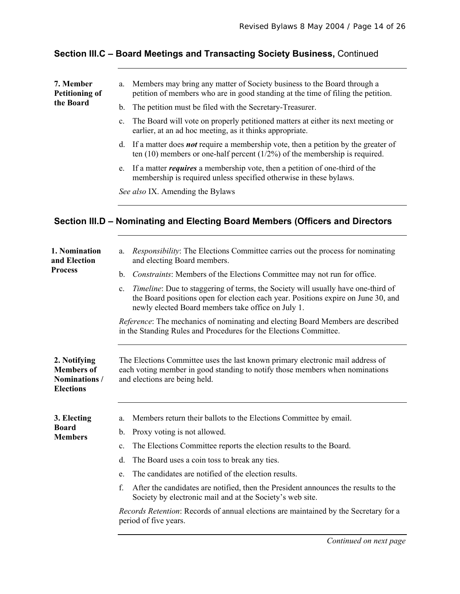# **Section III.C – Board Meetings and Transacting Society Business,** Continued

| 7. Member<br><b>Petitioning of</b><br>the Board                        | Members may bring any matter of Society business to the Board through a<br>a.<br>petition of members who are in good standing at the time of filing the petition.                                                                          |  |
|------------------------------------------------------------------------|--------------------------------------------------------------------------------------------------------------------------------------------------------------------------------------------------------------------------------------------|--|
|                                                                        | The petition must be filed with the Secretary-Treasurer.<br>b.                                                                                                                                                                             |  |
|                                                                        | The Board will vote on properly petitioned matters at either its next meeting or<br>$\mathbf{c}$ .<br>earlier, at an ad hoc meeting, as it thinks appropriate.                                                                             |  |
|                                                                        | If a matter does <b>not</b> require a membership vote, then a petition by the greater of<br>$d_{\cdot}$<br>ten $(10)$ members or one-half percent $(1/2%)$ of the membership is required.                                                  |  |
|                                                                        | If a matter <i>requires</i> a membership vote, then a petition of one-third of the<br>e.<br>membership is required unless specified otherwise in these bylaws.                                                                             |  |
|                                                                        | See also IX. Amending the Bylaws                                                                                                                                                                                                           |  |
|                                                                        | Section III.D – Nominating and Electing Board Members (Officers and Directors                                                                                                                                                              |  |
| 1. Nomination<br>and Election                                          | <i>Responsibility:</i> The Elections Committee carries out the process for nominating<br>a.<br>and electing Board members.                                                                                                                 |  |
| <b>Process</b>                                                         | Constraints: Members of the Elections Committee may not run for office.<br>$\mathbf b$ .                                                                                                                                                   |  |
|                                                                        | Timeline: Due to staggering of terms, the Society will usually have one-third of<br>$c_{\cdot}$<br>the Board positions open for election each year. Positions expire on June 30, and<br>newly elected Board members take office on July 1. |  |
|                                                                        | <i>Reference:</i> The mechanics of nominating and electing Board Members are described<br>in the Standing Rules and Procedures for the Elections Committee.                                                                                |  |
| 2. Notifying<br><b>Members</b> of<br>Nominations /<br><b>Elections</b> | The Elections Committee uses the last known primary electronic mail address of<br>each voting member in good standing to notify those members when nominations<br>and elections are being held.                                            |  |
| 3. Electing                                                            | Members return their ballots to the Elections Committee by email.<br>a.                                                                                                                                                                    |  |
| <b>Board</b><br><b>Members</b>                                         | Proxy voting is not allowed.<br>$\mathbf{b}$ .                                                                                                                                                                                             |  |
|                                                                        | The Elections Committee reports the election results to the Board.<br>$c_{\cdot}$                                                                                                                                                          |  |
|                                                                        | The Board uses a coin toss to break any ties.<br>d.                                                                                                                                                                                        |  |
|                                                                        | The candidates are notified of the election results.<br>e.                                                                                                                                                                                 |  |
|                                                                        | f.<br>After the candidates are notified, then the President announces the results to the<br>Society by electronic mail and at the Society's web site.                                                                                      |  |
|                                                                        | Records Retention: Records of annual elections are maintained by the Secretary for a<br>period of five years.                                                                                                                              |  |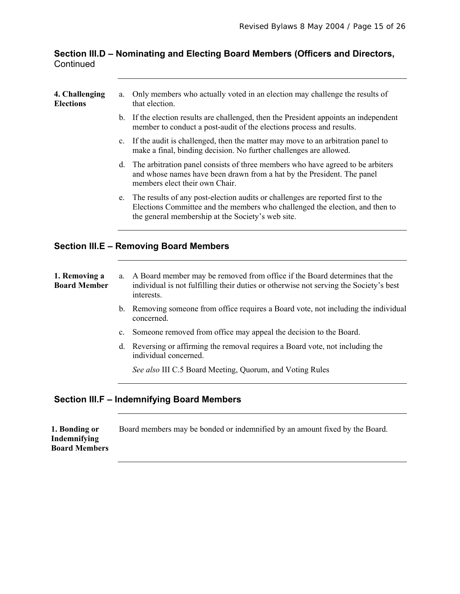#### **Section III.D – Nominating and Electing Board Members (Officers and Directors, Continued**

| 4. Challenging<br><b>Elections</b>   | a.             | Only members who actually voted in an election may challenge the results of<br>that election.                                                                                                                        |
|--------------------------------------|----------------|----------------------------------------------------------------------------------------------------------------------------------------------------------------------------------------------------------------------|
|                                      | b.             | If the election results are challenged, then the President appoints an independent<br>member to conduct a post-audit of the elections process and results.                                                           |
|                                      | C <sub>1</sub> | If the audit is challenged, then the matter may move to an arbitration panel to<br>make a final, binding decision. No further challenges are allowed.                                                                |
|                                      | d.             | The arbitration panel consists of three members who have agreed to be arbiters<br>and whose names have been drawn from a hat by the President. The panel<br>members elect their own Chair.                           |
|                                      | e.             | The results of any post-election audits or challenges are reported first to the<br>Elections Committee and the members who challenged the election, and then to<br>the general membership at the Society's web site. |
|                                      |                | <b>Section III.E - Removing Board Members</b>                                                                                                                                                                        |
| 1. Removing a<br><b>Board Member</b> | a.             | A Board member may be removed from office if the Board determines that the<br>individual is not fulfilling their duties or otherwise not serving the Society's best<br>interests.                                    |
|                                      | $\mathbf b$ .  | Removing someone from office requires a Board vote, not including the individual<br>concerned.                                                                                                                       |
|                                      | $\mathbf{c}$ . | Someone removed from office may appeal the decision to the Board.                                                                                                                                                    |
|                                      | d.             | Reversing or affirming the removal requires a Board vote, not including the<br>individual concerned.                                                                                                                 |
|                                      |                | See also III C.5 Board Meeting, Quorum, and Voting Rules                                                                                                                                                             |
|                                      |                |                                                                                                                                                                                                                      |
|                                      |                | <b>Section III.F - Indemnifying Board Members</b>                                                                                                                                                                    |
|                                      |                |                                                                                                                                                                                                                      |

| 1. Bonding or        | Board members may be bonded or indemnified by an amount fixed by the Board. |
|----------------------|-----------------------------------------------------------------------------|
| Indemnifying         |                                                                             |
| <b>Board Members</b> |                                                                             |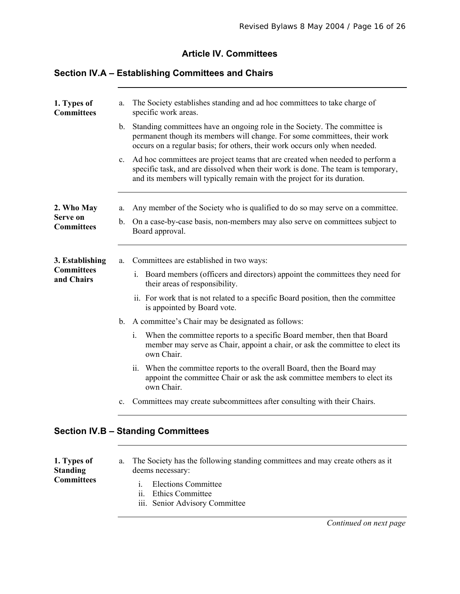#### **Article IV. Committees**

#### **Section IV.A – Establishing Committees and Chairs**

| 1. Types of<br><b>Committees</b>                   | The Society establishes standing and ad hoc committees to take charge of<br>a.<br>specific work areas.<br>$\mathbf{b}$ .<br>Standing committees have an ongoing role in the Society. The committee is<br>permanent though its members will change. For some committees, their work<br>occurs on a regular basis; for others, their work occurs only when needed.<br>Ad hoc committees are project teams that are created when needed to perform a<br>$c_{\cdot}$<br>specific task, and are dissolved when their work is done. The team is temporary,<br>and its members will typically remain with the project for its duration.                                                                                              |
|----------------------------------------------------|-------------------------------------------------------------------------------------------------------------------------------------------------------------------------------------------------------------------------------------------------------------------------------------------------------------------------------------------------------------------------------------------------------------------------------------------------------------------------------------------------------------------------------------------------------------------------------------------------------------------------------------------------------------------------------------------------------------------------------|
| 2. Who May<br>Serve on<br><b>Committees</b>        | Any member of the Society who is qualified to do so may serve on a committee.<br>a.<br>On a case-by-case basis, non-members may also serve on committees subject to<br>$\mathbf b$ .<br>Board approval.                                                                                                                                                                                                                                                                                                                                                                                                                                                                                                                       |
| 3. Establishing<br><b>Committees</b><br>and Chairs | Committees are established in two ways:<br>a.<br>Board members (officers and directors) appoint the committees they need for<br>İ.<br>their areas of responsibility.<br>ii. For work that is not related to a specific Board position, then the committee<br>is appointed by Board vote.<br>A committee's Chair may be designated as follows:<br>$\mathbf{b}$ .<br>When the committee reports to a specific Board member, then that Board<br>$i_{\cdot}$<br>member may serve as Chair, appoint a chair, or ask the committee to elect its<br>own Chair.<br>ii. When the committee reports to the overall Board, then the Board may<br>appoint the committee Chair or ask the ask committee members to elect its<br>own Chair. |
|                                                    | Committees may create subcommittees after consulting with their Chairs.<br>$\mathbf{c}$ .                                                                                                                                                                                                                                                                                                                                                                                                                                                                                                                                                                                                                                     |
|                                                    | <b>Section IV.B - Standing Committees</b>                                                                                                                                                                                                                                                                                                                                                                                                                                                                                                                                                                                                                                                                                     |

**1. Types of Standing Committees**  a. The Society has the following standing committees and may create others as it deems necessary: i. Elections Committee ii. Ethics Committee

iii. Senior Advisory Committee

 *Continued on next page*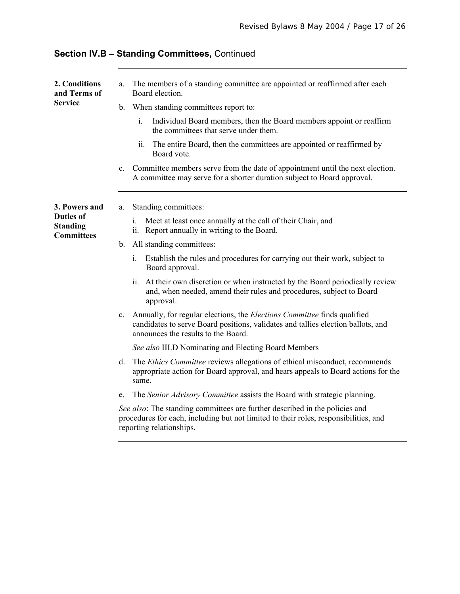| 2. Conditions<br>and Terms of                                             | The members of a standing committee are appointed or reaffirmed after each<br>a.<br>Board election.                                                                                                                       |
|---------------------------------------------------------------------------|---------------------------------------------------------------------------------------------------------------------------------------------------------------------------------------------------------------------------|
| <b>Service</b>                                                            | When standing committees report to:<br>$\mathbf{b}$ .                                                                                                                                                                     |
|                                                                           | i.<br>Individual Board members, then the Board members appoint or reaffirm<br>the committees that serve under them.                                                                                                       |
|                                                                           | The entire Board, then the committees are appointed or reaffirmed by<br>ii.<br>Board vote.                                                                                                                                |
|                                                                           | Committee members serve from the date of appointment until the next election.<br>$c_{\cdot}$<br>A committee may serve for a shorter duration subject to Board approval.                                                   |
| 3. Powers and<br><b>Duties of</b><br><b>Standing</b><br><b>Committees</b> | Standing committees:<br>a.                                                                                                                                                                                                |
|                                                                           | Meet at least once annually at the call of their Chair, and<br>1.<br>ii. Report annually in writing to the Board.                                                                                                         |
|                                                                           | All standing committees:<br>$b_{-}$                                                                                                                                                                                       |
|                                                                           | Establish the rules and procedures for carrying out their work, subject to<br>$i_{-}$<br>Board approval.                                                                                                                  |
|                                                                           | ii. At their own discretion or when instructed by the Board periodically review<br>and, when needed, amend their rules and procedures, subject to Board<br>approval.                                                      |
|                                                                           | Annually, for regular elections, the <i>Elections Committee</i> finds qualified<br>$c_{\cdot}$<br>candidates to serve Board positions, validates and tallies election ballots, and<br>announces the results to the Board. |
|                                                                           | See also III.D Nominating and Electing Board Members                                                                                                                                                                      |
|                                                                           | The <i>Ethics Committee</i> reviews allegations of ethical misconduct, recommends<br>d.<br>appropriate action for Board approval, and hears appeals to Board actions for the<br>same.                                     |
|                                                                           | The Senior Advisory Committee assists the Board with strategic planning.<br>e.                                                                                                                                            |
|                                                                           | See also: The standing committees are further described in the policies and<br>procedures for each, including but not limited to their roles, responsibilities, and<br>reporting relationships.                           |

# **Section IV.B – Standing Committees,** Continued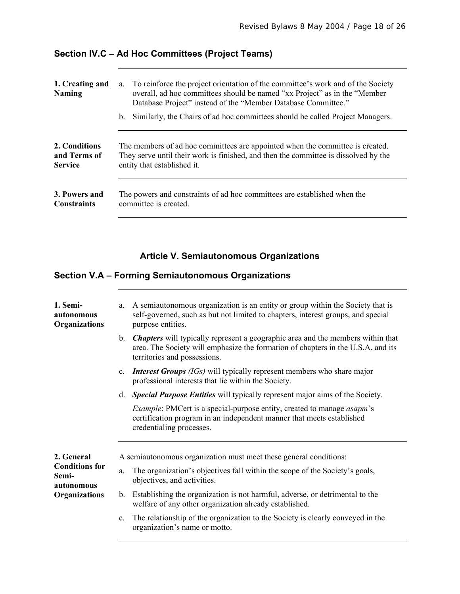### **Section IV.C – Ad Hoc Committees (Project Teams)**

| 1. Creating and<br><b>Naming</b> | To reinforce the project orientation of the committee's work and of the Society<br>a.<br>overall, ad hoc committees should be named "xx Project" as in the "Member<br>Database Project" instead of the "Member Database Committee."<br>Similarly, the Chairs of ad hoc committees should be called Project Managers.<br>b. |
|----------------------------------|----------------------------------------------------------------------------------------------------------------------------------------------------------------------------------------------------------------------------------------------------------------------------------------------------------------------------|
| 2. Conditions                    | The members of ad hoc committees are appointed when the committee is created.                                                                                                                                                                                                                                              |
| and Terms of                     | They serve until their work is finished, and then the committee is dissolved by the                                                                                                                                                                                                                                        |
| <b>Service</b>                   | entity that established it.                                                                                                                                                                                                                                                                                                |
| 3. Powers and                    | The powers and constraints of ad hoc committees are established when the                                                                                                                                                                                                                                                   |
| <b>Constraints</b>               | committee is created.                                                                                                                                                                                                                                                                                                      |

#### **Article V. Semiautonomous Organizations**

### **Section V.A – Forming Semiautonomous Organizations**

| 1. Semi-<br>autonomous<br>Organizations                                     | a.                                                                | A semiautonomous organization is an entity or group within the Society that is<br>self-governed, such as but not limited to chapters, interest groups, and special<br>purpose entities.                    |  |
|-----------------------------------------------------------------------------|-------------------------------------------------------------------|------------------------------------------------------------------------------------------------------------------------------------------------------------------------------------------------------------|--|
|                                                                             | $\mathbf{b}$ .                                                    | <b>Chapters</b> will typically represent a geographic area and the members within that<br>area. The Society will emphasize the formation of chapters in the U.S.A. and its<br>territories and possessions. |  |
|                                                                             | $\mathbf{c}$ .                                                    | <b>Interest Groups</b> (IGs) will typically represent members who share major<br>professional interests that lie within the Society.                                                                       |  |
|                                                                             | d.                                                                | <b>Special Purpose Entities</b> will typically represent major aims of the Society.                                                                                                                        |  |
|                                                                             |                                                                   | <i>Example:</i> PMCert is a special-purpose entity, created to manage <i>asapm</i> 's<br>certification program in an independent manner that meets established<br>credentialing processes.                 |  |
| 2. General<br><b>Conditions for</b><br>Semi-<br>autonomous<br>Organizations | A semiautonomous organization must meet these general conditions: |                                                                                                                                                                                                            |  |
|                                                                             | a.                                                                | The organization's objectives fall within the scope of the Society's goals,<br>objectives, and activities.                                                                                                 |  |
|                                                                             | $b_{\cdot}$                                                       | Establishing the organization is not harmful, adverse, or detrimental to the<br>welfare of any other organization already established.                                                                     |  |
|                                                                             | c.                                                                | The relationship of the organization to the Society is clearly conveyed in the<br>organization's name or motto.                                                                                            |  |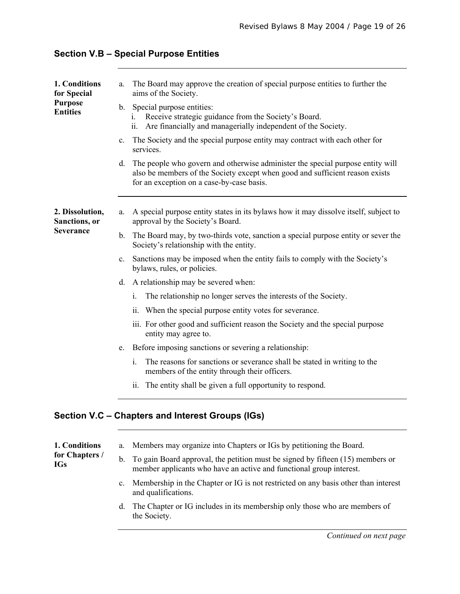| 1. Conditions<br>for Special<br><b>Purpose</b><br><b>Entities</b> | The Board may approve the creation of special purpose entities to further the<br>a.<br>aims of the Society.                                                                                                    |
|-------------------------------------------------------------------|----------------------------------------------------------------------------------------------------------------------------------------------------------------------------------------------------------------|
|                                                                   | b. Special purpose entities:<br>Receive strategic guidance from the Society's Board.<br>1.<br>ii.<br>Are financially and managerially independent of the Society.                                              |
|                                                                   | The Society and the special purpose entity may contract with each other for<br>$c_{-}$<br>services.                                                                                                            |
|                                                                   | d. The people who govern and otherwise administer the special purpose entity will<br>also be members of the Society except when good and sufficient reason exists<br>for an exception on a case-by-case basis. |
| 2. Dissolution,<br>Sanctions, or                                  | A special purpose entity states in its bylaws how it may dissolve itself, subject to<br>a.<br>approval by the Society's Board.                                                                                 |
| Severance                                                         | b. The Board may, by two-thirds vote, sanction a special purpose entity or sever the<br>Society's relationship with the entity.                                                                                |
|                                                                   | c. Sanctions may be imposed when the entity fails to comply with the Society's<br>bylaws, rules, or policies.                                                                                                  |
|                                                                   | d. A relationship may be severed when:                                                                                                                                                                         |
|                                                                   | The relationship no longer serves the interests of the Society.<br>i.                                                                                                                                          |
|                                                                   | ii. When the special purpose entity votes for severance.                                                                                                                                                       |
|                                                                   | iii. For other good and sufficient reason the Society and the special purpose<br>entity may agree to.                                                                                                          |
|                                                                   | Before imposing sanctions or severing a relationship:<br>e.                                                                                                                                                    |
|                                                                   | The reasons for sanctions or severance shall be stated in writing to the<br>$\mathbf{i}$ .<br>members of the entity through their officers.                                                                    |
|                                                                   | ii. The entity shall be given a full opportunity to respond.                                                                                                                                                   |
|                                                                   | Section V.C - Chapters and Interest Groups (IGs)                                                                                                                                                               |

#### **Section V.B – Special Purpose Entities**

| 1. Conditions<br>for Chapters /<br>IGs |                | a. Members may organize into Chapters or IGs by petitioning the Board.                                                                                   |
|----------------------------------------|----------------|----------------------------------------------------------------------------------------------------------------------------------------------------------|
|                                        |                | b. To gain Board approval, the petition must be signed by fifteen (15) members or<br>member applicants who have an active and functional group interest. |
|                                        | $\mathbf{c}$ . | Membership in the Chapter or IG is not restricted on any basis other than interest<br>and qualifications.                                                |

d. The Chapter or IG includes in its membership only those who are members of the Society.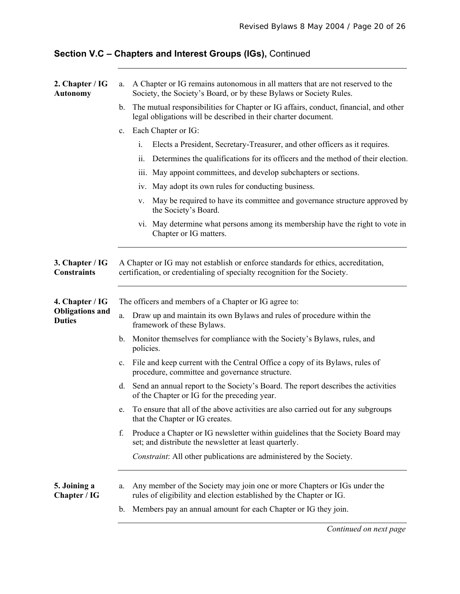# **Section V.C – Chapters and Interest Groups (IGs),** Continued

| 2. Chapter / IG<br><b>Autonomy</b>      | A Chapter or IG remains autonomous in all matters that are not reserved to the<br>a.<br>Society, the Society's Board, or by these Bylaws or Society Rules.              |  |  |
|-----------------------------------------|-------------------------------------------------------------------------------------------------------------------------------------------------------------------------|--|--|
|                                         | The mutual responsibilities for Chapter or IG affairs, conduct, financial, and other<br>$\mathbf b$ .<br>legal obligations will be described in their charter document. |  |  |
|                                         | Each Chapter or IG:<br>$\mathbf{c}$ .                                                                                                                                   |  |  |
|                                         | i.<br>Elects a President, Secretary-Treasurer, and other officers as it requires.                                                                                       |  |  |
|                                         | Determines the qualifications for its officers and the method of their election.<br>ii.                                                                                 |  |  |
|                                         | May appoint committees, and develop subchapters or sections.<br>ill.                                                                                                    |  |  |
|                                         | iv. May adopt its own rules for conducting business.                                                                                                                    |  |  |
|                                         | May be required to have its committee and governance structure approved by<br>V.<br>the Society's Board.                                                                |  |  |
|                                         | vi. May determine what persons among its membership have the right to vote in<br>Chapter or IG matters.                                                                 |  |  |
| 3. Chapter / IG<br><b>Constraints</b>   | A Chapter or IG may not establish or enforce standards for ethics, accreditation,<br>certification, or credentialing of specialty recognition for the Society.          |  |  |
| 4. Chapter / IG                         | The officers and members of a Chapter or IG agree to:                                                                                                                   |  |  |
| <b>Obligations and</b><br><b>Duties</b> | Draw up and maintain its own Bylaws and rules of procedure within the<br>$a$ .<br>framework of these Bylaws.                                                            |  |  |
|                                         | Monitor themselves for compliance with the Society's Bylaws, rules, and<br>b.<br>policies.                                                                              |  |  |
|                                         | File and keep current with the Central Office a copy of its Bylaws, rules of<br>c.<br>procedure, committee and governance structure.                                    |  |  |
|                                         | Send an annual report to the Society's Board. The report describes the activities<br>d.<br>of the Chapter or IG for the preceding year.                                 |  |  |
|                                         | To ensure that all of the above activities are also carried out for any subgroups<br>e.<br>that the Chapter or IG creates.                                              |  |  |
|                                         | Produce a Chapter or IG newsletter within guidelines that the Society Board may<br>f.<br>set; and distribute the newsletter at least quarterly.                         |  |  |
|                                         | Constraint: All other publications are administered by the Society.                                                                                                     |  |  |
| 5. Joining a<br>Chapter / IG            | Any member of the Society may join one or more Chapters or IGs under the<br>a.<br>rules of eligibility and election established by the Chapter or IG.                   |  |  |
|                                         | Members pay an annual amount for each Chapter or IG they join.<br>b.                                                                                                    |  |  |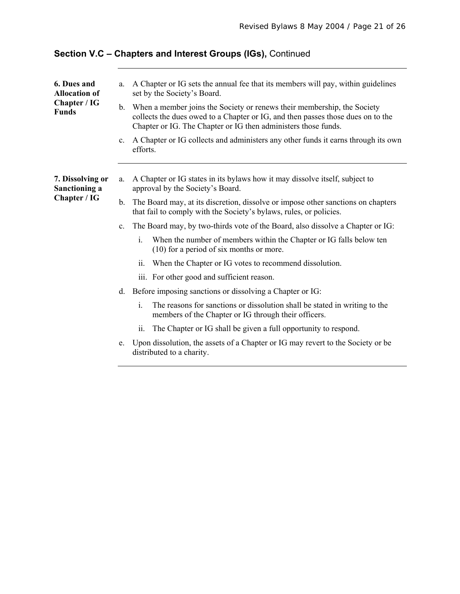| 6. Dues and<br><b>Allocation of</b><br>Chapter / IG<br><b>Funds</b> | a.<br>b.<br>C <sub>1</sub> | A Chapter or IG sets the annual fee that its members will pay, within guidelines<br>set by the Society's Board.<br>When a member joins the Society or renews their membership, the Society<br>collects the dues owed to a Chapter or IG, and then passes those dues on to the<br>Chapter or IG. The Chapter or IG then administers those funds.<br>A Chapter or IG collects and administers any other funds it earns through its own<br>efforts. |
|---------------------------------------------------------------------|----------------------------|--------------------------------------------------------------------------------------------------------------------------------------------------------------------------------------------------------------------------------------------------------------------------------------------------------------------------------------------------------------------------------------------------------------------------------------------------|
|                                                                     |                            |                                                                                                                                                                                                                                                                                                                                                                                                                                                  |
| 7. Dissolving or<br>Sanctioning a<br>Chapter / IG                   | a.                         | A Chapter or IG states in its bylaws how it may dissolve itself, subject to<br>approval by the Society's Board.                                                                                                                                                                                                                                                                                                                                  |
|                                                                     | $b_{\cdot}$                | The Board may, at its discretion, dissolve or impose other sanctions on chapters<br>that fail to comply with the Society's bylaws, rules, or policies.                                                                                                                                                                                                                                                                                           |
|                                                                     | C <sub>1</sub>             | The Board may, by two-thirds vote of the Board, also dissolve a Chapter or IG:                                                                                                                                                                                                                                                                                                                                                                   |
|                                                                     |                            | i.<br>When the number of members within the Chapter or IG falls below ten<br>(10) for a period of six months or more.                                                                                                                                                                                                                                                                                                                            |
|                                                                     |                            | When the Chapter or IG votes to recommend dissolution.<br>ii.                                                                                                                                                                                                                                                                                                                                                                                    |
|                                                                     |                            | iii. For other good and sufficient reason.                                                                                                                                                                                                                                                                                                                                                                                                       |
|                                                                     | d.                         | Before imposing sanctions or dissolving a Chapter or IG:                                                                                                                                                                                                                                                                                                                                                                                         |
|                                                                     |                            | The reasons for sanctions or dissolution shall be stated in writing to the<br>i.<br>members of the Chapter or IG through their officers.                                                                                                                                                                                                                                                                                                         |
|                                                                     |                            | The Chapter or IG shall be given a full opportunity to respond.<br>11.                                                                                                                                                                                                                                                                                                                                                                           |
|                                                                     | e.                         | Upon dissolution, the assets of a Chapter or IG may revert to the Society or be<br>distributed to a charity.                                                                                                                                                                                                                                                                                                                                     |

# **Section V.C – Chapters and Interest Groups (IGs),** Continued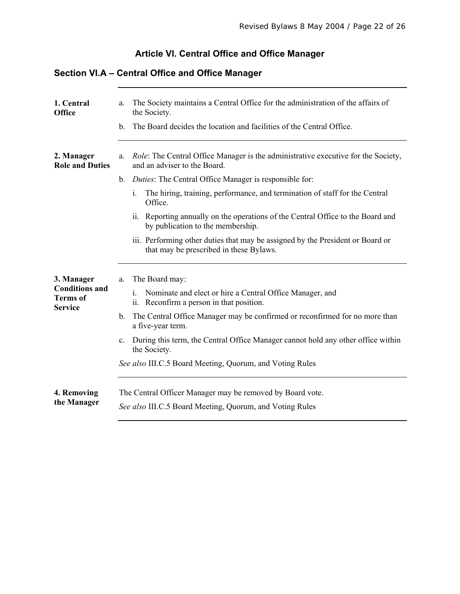# **Article VI. Central Office and Office Manager**

#### **Section VI.A – Central Office and Office Manager**

| 1. Central<br><b>Office</b>                                              | The Society maintains a Central Office for the administration of the affairs of<br>a.<br>the Society.<br>The Board decides the location and facilities of the Central Office.<br>$\mathbf{b}$ .                                                                                                                                                                                                                                         |  |
|--------------------------------------------------------------------------|-----------------------------------------------------------------------------------------------------------------------------------------------------------------------------------------------------------------------------------------------------------------------------------------------------------------------------------------------------------------------------------------------------------------------------------------|--|
| 2. Manager<br><b>Role and Duties</b>                                     | Role: The Central Office Manager is the administrative executive for the Society,<br>a.<br>and an adviser to the Board.<br><i>Duties:</i> The Central Office Manager is responsible for:<br>$\mathbf{b}$ .                                                                                                                                                                                                                              |  |
|                                                                          | The hiring, training, performance, and termination of staff for the Central<br>i.<br>Office.                                                                                                                                                                                                                                                                                                                                            |  |
|                                                                          | ii. Reporting annually on the operations of the Central Office to the Board and<br>by publication to the membership.                                                                                                                                                                                                                                                                                                                    |  |
|                                                                          | iii. Performing other duties that may be assigned by the President or Board or<br>that may be prescribed in these Bylaws.                                                                                                                                                                                                                                                                                                               |  |
| 3. Manager<br><b>Conditions and</b><br><b>Terms</b> of<br><b>Service</b> | The Board may:<br>a.<br>i.<br>Nominate and elect or hire a Central Office Manager, and<br>ii. Reconfirm a person in that position.<br>The Central Office Manager may be confirmed or reconfirmed for no more than<br>$\mathbf{b}$ .<br>a five-year term.<br>During this term, the Central Office Manager cannot hold any other office within<br>$c_{\cdot}$<br>the Society.<br>See also III.C.5 Board Meeting, Quorum, and Voting Rules |  |
| 4. Removing<br>the Manager                                               | The Central Officer Manager may be removed by Board vote.<br>See also III.C.5 Board Meeting, Quorum, and Voting Rules                                                                                                                                                                                                                                                                                                                   |  |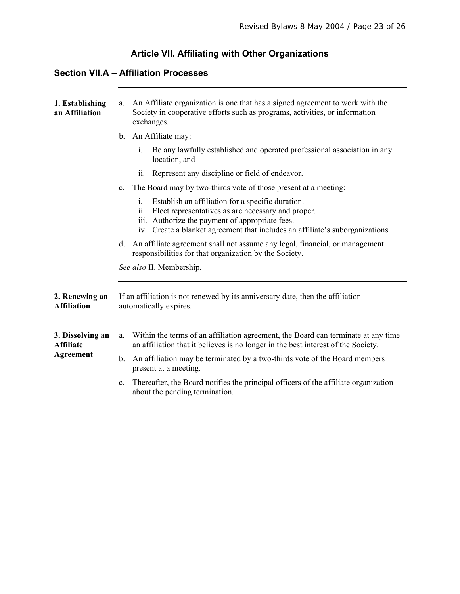# **Article VII. Affiliating with Other Organizations**

#### **Section VII.A – Affiliation Processes**

| 1. Establishing<br>an Affiliation                        | An Affiliate organization is one that has a signed agreement to work with the<br>a.<br>Society in cooperative efforts such as programs, activities, or information<br>exchanges.                                                                         |
|----------------------------------------------------------|----------------------------------------------------------------------------------------------------------------------------------------------------------------------------------------------------------------------------------------------------------|
|                                                          | An Affiliate may:<br>$\mathbf{b}$ .                                                                                                                                                                                                                      |
|                                                          | Be any lawfully established and operated professional association in any<br>$\mathbf{i}$ .<br>location, and                                                                                                                                              |
|                                                          | Represent any discipline or field of endeavor.<br>ii.                                                                                                                                                                                                    |
|                                                          | The Board may by two-thirds vote of those present at a meeting:<br>$\mathbf{c}$ .                                                                                                                                                                        |
|                                                          | Establish an affiliation for a specific duration.<br>i.<br>Elect representatives as are necessary and proper.<br>11.<br>iii. Authorize the payment of appropriate fees.<br>iv. Create a blanket agreement that includes an affiliate's suborganizations. |
|                                                          | d. An affiliate agreement shall not assume any legal, financial, or management<br>responsibilities for that organization by the Society.                                                                                                                 |
|                                                          | See also II. Membership.                                                                                                                                                                                                                                 |
| 2. Renewing an<br><b>Affiliation</b>                     | If an affiliation is not renewed by its anniversary date, then the affiliation<br>automatically expires.                                                                                                                                                 |
| 3. Dissolving an<br><b>Affiliate</b><br><b>Agreement</b> | Within the terms of an affiliation agreement, the Board can terminate at any time<br>a.<br>an affiliation that it believes is no longer in the best interest of the Society.                                                                             |
|                                                          | An affiliation may be terminated by a two-thirds vote of the Board members<br>$\mathbf{b}$ .<br>present at a meeting.                                                                                                                                    |
|                                                          | Thereafter, the Board notifies the principal officers of the affiliate organization<br>$c_{\cdot}$<br>about the pending termination.                                                                                                                     |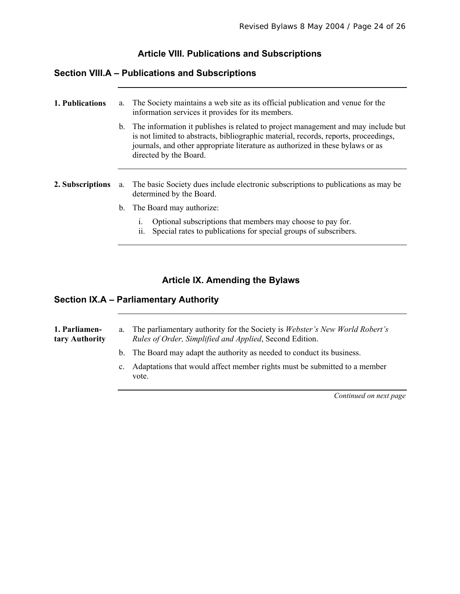#### **Article VIII. Publications and Subscriptions**

#### **Section VIII.A – Publications and Subscriptions**

| 1. Publications  | a. | The Society maintains a web site as its official publication and venue for the<br>information services it provides for its members.                                                                                                                                                     |
|------------------|----|-----------------------------------------------------------------------------------------------------------------------------------------------------------------------------------------------------------------------------------------------------------------------------------------|
|                  |    | b. The information it publishes is related to project management and may include but<br>is not limited to abstracts, bibliographic material, records, reports, proceedings,<br>journals, and other appropriate literature as authorized in these bylaws or as<br>directed by the Board. |
|                  |    |                                                                                                                                                                                                                                                                                         |
| 2. Subscriptions | a. | The basic Society dues include electronic subscriptions to publications as may be<br>determined by the Board.                                                                                                                                                                           |
|                  | b. | The Board may authorize:                                                                                                                                                                                                                                                                |
|                  |    | Optional subscriptions that members may choose to pay for.<br>1.<br>Special rates to publications for special groups of subscribers.<br>11.                                                                                                                                             |

#### **Article IX. Amending the Bylaws**

#### **Section IX.A – Parliamentary Authority**

**1. Parliamentary Authority**  a. The parliamentary authority for the Society is *Webster's New World Robert's Rules of Order, Simplified and Applied*, Second Edition. b. The Board may adapt the authority as needed to conduct its business.

> c. Adaptations that would affect member rights must be submitted to a member vote.

> > *Continued on next page*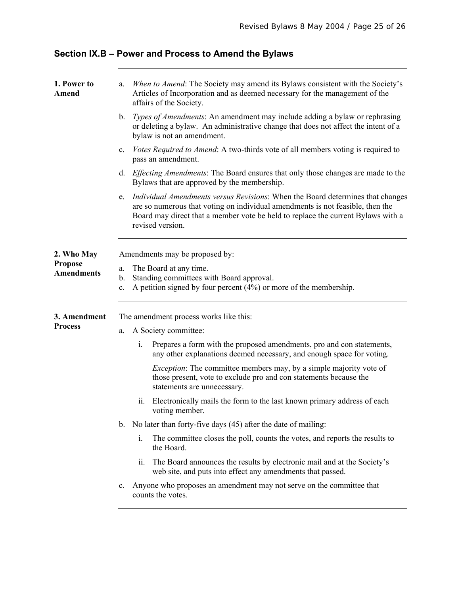| 1. Power to<br>Amend                | a.                             | When to Amend: The Society may amend its Bylaws consistent with the Society's<br>Articles of Incorporation and as deemed necessary for the management of the<br>affairs of the Society.                                                                                         |  |  |  |
|-------------------------------------|--------------------------------|---------------------------------------------------------------------------------------------------------------------------------------------------------------------------------------------------------------------------------------------------------------------------------|--|--|--|
|                                     | $\mathbf{b}$ .                 | <i>Types of Amendments:</i> An amendment may include adding a bylaw or rephrasing<br>or deleting a bylaw. An administrative change that does not affect the intent of a<br>bylaw is not an amendment.                                                                           |  |  |  |
|                                     | $\mathbf{c}$ .                 | Votes Required to Amend: A two-thirds vote of all members voting is required to<br>pass an amendment.                                                                                                                                                                           |  |  |  |
|                                     | d.                             | <i>Effecting Amendments:</i> The Board ensures that only those changes are made to the<br>By laws that are approved by the membership.                                                                                                                                          |  |  |  |
|                                     | e.                             | <i>Individual Amendments versus Revisions:</i> When the Board determines that changes<br>are so numerous that voting on individual amendments is not feasible, then the<br>Board may direct that a member vote be held to replace the current Bylaws with a<br>revised version. |  |  |  |
| 2. Who May                          | Amendments may be proposed by: |                                                                                                                                                                                                                                                                                 |  |  |  |
| <b>Propose</b><br><b>Amendments</b> | a.<br>b.<br>c.                 | The Board at any time.<br>Standing committees with Board approval.<br>A petition signed by four percent $(4%)$ or more of the membership.                                                                                                                                       |  |  |  |
| 3. Amendment                        |                                | The amendment process works like this:                                                                                                                                                                                                                                          |  |  |  |
| <b>Process</b>                      | a.                             | A Society committee:                                                                                                                                                                                                                                                            |  |  |  |
|                                     |                                | i.<br>Prepares a form with the proposed amendments, pro and con statements,<br>any other explanations deemed necessary, and enough space for voting.                                                                                                                            |  |  |  |
|                                     |                                | <i>Exception:</i> The committee members may, by a simple majority vote of<br>those present, vote to exclude pro and con statements because the<br>statements are unnecessary.                                                                                                   |  |  |  |
|                                     |                                | Electronically mails the form to the last known primary address of each<br>11.<br>voting member.                                                                                                                                                                                |  |  |  |
|                                     | $b_{-}$                        | No later than forty-five days (45) after the date of mailing:                                                                                                                                                                                                                   |  |  |  |
|                                     |                                | i.<br>The committee closes the poll, counts the votes, and reports the results to<br>the Board.                                                                                                                                                                                 |  |  |  |
|                                     |                                | The Board announces the results by electronic mail and at the Society's<br>ii.<br>web site, and puts into effect any amendments that passed.                                                                                                                                    |  |  |  |
|                                     | $\mathbf{c}$ .                 | Anyone who proposes an amendment may not serve on the committee that<br>counts the votes.                                                                                                                                                                                       |  |  |  |

**Section IX.B – Power and Process to Amend the Bylaws**